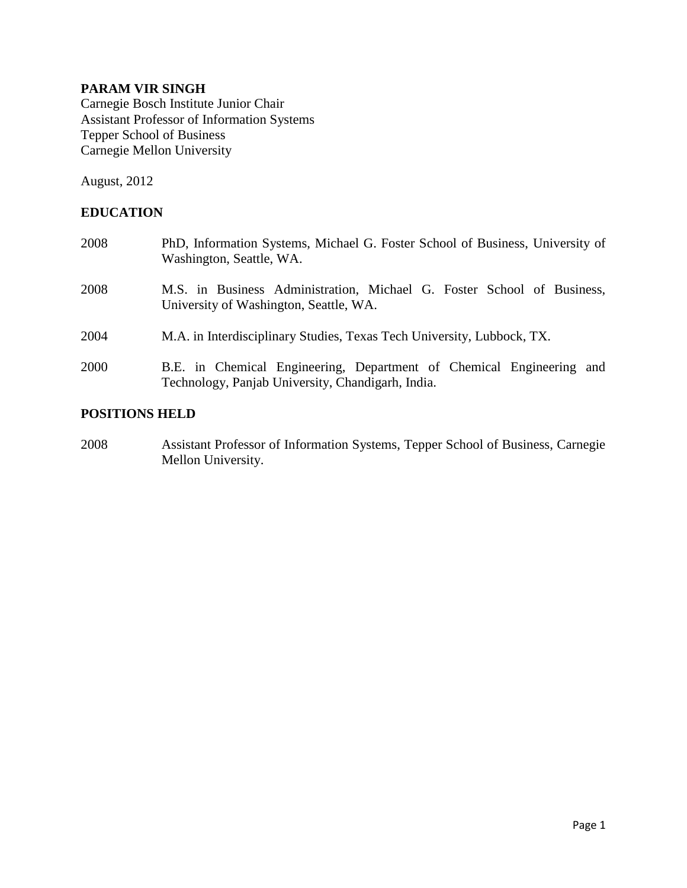# **PARAM VIR SINGH**

Carnegie Bosch Institute Junior Chair Assistant Professor of Information Systems Tepper School of Business Carnegie Mellon University

August, 2012

# **EDUCATION**

| 2008 | PhD, Information Systems, Michael G. Foster School of Business, University of<br>Washington, Seattle, WA.                 |
|------|---------------------------------------------------------------------------------------------------------------------------|
| 2008 | M.S. in Business Administration, Michael G. Foster School of Business,<br>University of Washington, Seattle, WA.          |
| 2004 | M.A. in Interdisciplinary Studies, Texas Tech University, Lubbock, TX.                                                    |
| 2000 | B.E. in Chemical Engineering, Department of Chemical Engineering and<br>Technology, Panjab University, Chandigarh, India. |

## **POSITIONS HELD**

2008 Assistant Professor of Information Systems, Tepper School of Business, Carnegie Mellon University.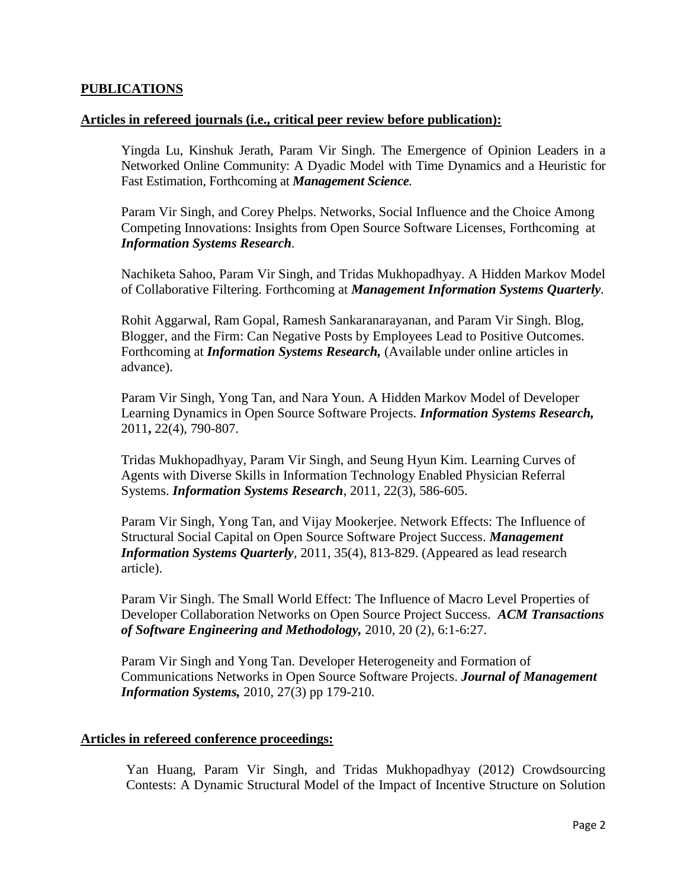## **PUBLICATIONS**

#### **Articles in refereed journals (i.e., critical peer review before publication):**

Yingda Lu, Kinshuk Jerath, Param Vir Singh. The Emergence of Opinion Leaders in a Networked Online Community: A Dyadic Model with Time Dynamics and a Heuristic for Fast Estimation, Forthcoming at *Management Science.*

Param Vir Singh, and Corey Phelps. Networks, Social Influence and the Choice Among Competing Innovations: Insights from Open Source Software Licenses, Forthcoming at *Information Systems Research.* 

Nachiketa Sahoo, Param Vir Singh, and Tridas Mukhopadhyay. A Hidden Markov Model of Collaborative Filtering. Forthcoming at *Management Information Systems Quarterly.* 

Rohit Aggarwal, Ram Gopal, Ramesh Sankaranarayanan, and Param Vir Singh. Blog, Blogger, and the Firm: Can Negative Posts by Employees Lead to Positive Outcomes. Forthcoming at *Information Systems Research,* (Available under online articles in advance).

Param Vir Singh, Yong Tan, and Nara Youn. A Hidden Markov Model of Developer Learning Dynamics in Open Source Software Projects. *Information Systems Research,*  2011**,** 22(4), 790-807.

Tridas Mukhopadhyay, Param Vir Singh, and Seung Hyun Kim. Learning Curves of Agents with Diverse Skills in Information Technology Enabled Physician Referral Systems. *Information Systems Research*, 2011, 22(3), 586-605.

Param Vir Singh, Yong Tan, and Vijay Mookerjee. Network Effects: The Influence of Structural Social Capital on Open Source Software Project Success. *Management Information Systems Quarterly,* 2011, 35(4), 813-829. (Appeared as lead research article).

Param Vir Singh. The Small World Effect: The Influence of Macro Level Properties of Developer Collaboration Networks on Open Source Project Success. *ACM Transactions of Software Engineering and Methodology,* 2010, 20 (2), 6:1-6:27.

Param Vir Singh and Yong Tan. Developer Heterogeneity and Formation of Communications Networks in Open Source Software Projects. *Journal of Management Information Systems,* 2010, 27(3) pp 179-210.

# **Articles in refereed conference proceedings:**

Yan Huang, Param Vir Singh, and Tridas Mukhopadhyay (2012) Crowdsourcing Contests: A Dynamic Structural Model of the Impact of Incentive Structure on Solution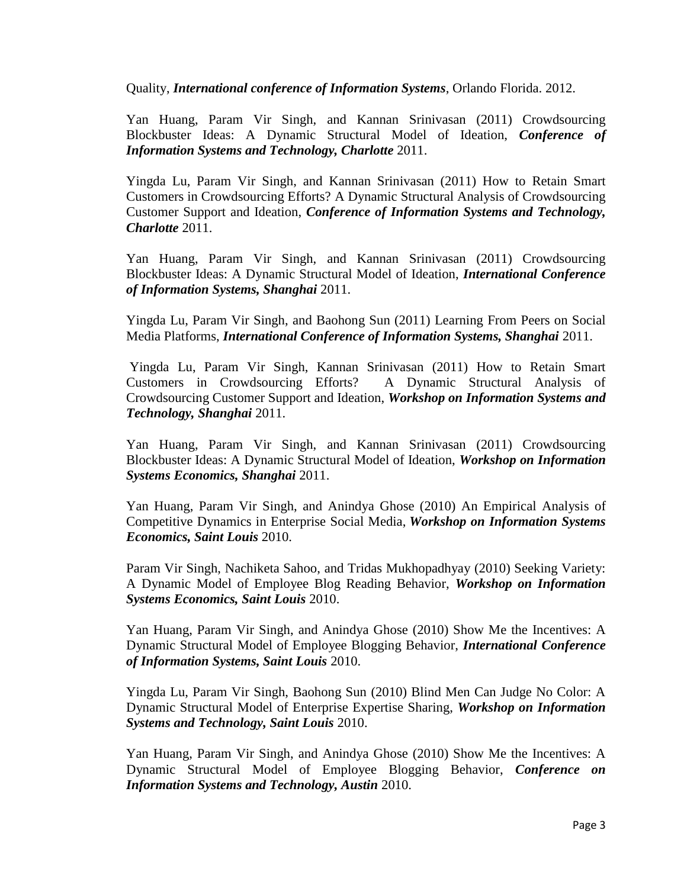Quality, *International conference of Information Systems*, Orlando Florida. 2012.

Yan Huang, Param Vir Singh, and Kannan Srinivasan (2011) Crowdsourcing Blockbuster Ideas: A Dynamic Structural Model of Ideation, *Conference of Information Systems and Technology, Charlotte* 2011.

Yingda Lu, Param Vir Singh, and Kannan Srinivasan (2011) How to Retain Smart Customers in Crowdsourcing Efforts? A Dynamic Structural Analysis of Crowdsourcing Customer Support and Ideation, *Conference of Information Systems and Technology, Charlotte* 2011.

Yan Huang, Param Vir Singh, and Kannan Srinivasan (2011) Crowdsourcing Blockbuster Ideas: A Dynamic Structural Model of Ideation, *International Conference of Information Systems, Shanghai* 2011.

Yingda Lu, Param Vir Singh, and Baohong Sun (2011) Learning From Peers on Social Media Platforms, *International Conference of Information Systems, Shanghai* 2011.

Yingda Lu, Param Vir Singh, Kannan Srinivasan (2011) How to Retain Smart Customers in Crowdsourcing Efforts? A Dynamic Structural Analysis of Crowdsourcing Customer Support and Ideation, *Workshop on Information Systems and Technology, Shanghai* 2011.

Yan Huang, Param Vir Singh, and Kannan Srinivasan (2011) Crowdsourcing Blockbuster Ideas: A Dynamic Structural Model of Ideation, *Workshop on Information Systems Economics, Shanghai* 2011.

Yan Huang, Param Vir Singh, and Anindya Ghose (2010) An Empirical Analysis of Competitive Dynamics in Enterprise Social Media, *Workshop on Information Systems Economics, Saint Louis* 2010.

Param Vir Singh, Nachiketa Sahoo, and Tridas Mukhopadhyay (2010) Seeking Variety: A Dynamic Model of Employee Blog Reading Behavior, *Workshop on Information Systems Economics, Saint Louis* 2010.

Yan Huang, Param Vir Singh, and Anindya Ghose (2010) Show Me the Incentives: A Dynamic Structural Model of Employee Blogging Behavior, *International Conference of Information Systems, Saint Louis* 2010.

Yingda Lu, Param Vir Singh, Baohong Sun (2010) Blind Men Can Judge No Color: A Dynamic Structural Model of Enterprise Expertise Sharing, *Workshop on Information Systems and Technology, Saint Louis* 2010.

Yan Huang, Param Vir Singh, and Anindya Ghose (2010) Show Me the Incentives: A Dynamic Structural Model of Employee Blogging Behavior, *Conference on Information Systems and Technology, Austin* 2010.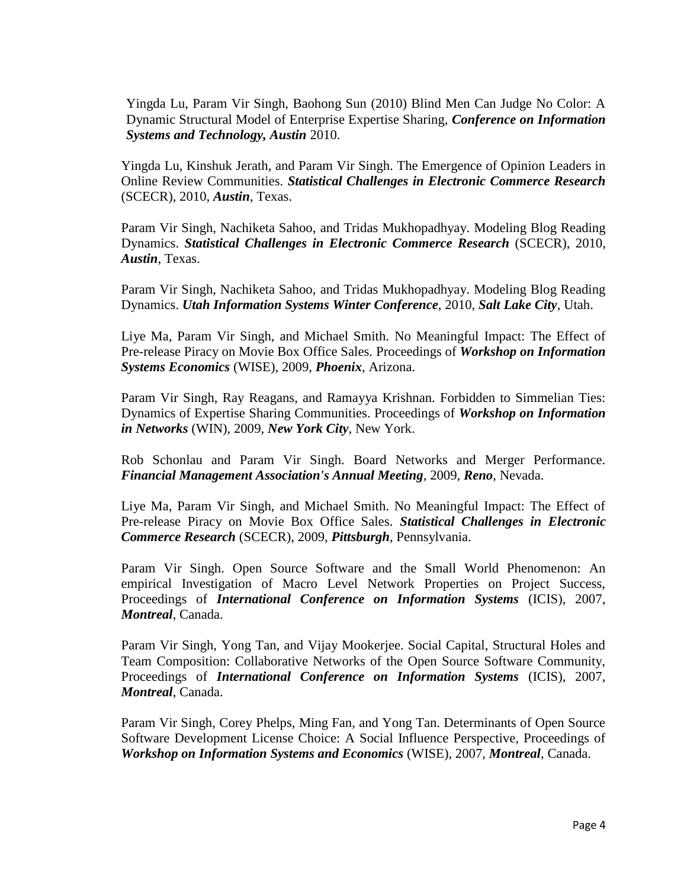Yingda Lu, Param Vir Singh, Baohong Sun (2010) Blind Men Can Judge No Color: A Dynamic Structural Model of Enterprise Expertise Sharing, *Conference on Information Systems and Technology, Austin* 2010.

Yingda Lu, Kinshuk Jerath, and Param Vir Singh. The Emergence of Opinion Leaders in Online Review Communities. *Statistical Challenges in Electronic Commerce Research*  (SCECR), 2010, *Austin*, Texas.

Param Vir Singh, Nachiketa Sahoo, and Tridas Mukhopadhyay. Modeling Blog Reading Dynamics. *Statistical Challenges in Electronic Commerce Research* (SCECR), 2010, *Austin*, Texas.

Param Vir Singh, Nachiketa Sahoo, and Tridas Mukhopadhyay. Modeling Blog Reading Dynamics. *Utah Information Systems Winter Conference*, 2010, *Salt Lake City*, Utah.

Liye Ma, Param Vir Singh, and Michael Smith. No Meaningful Impact: The Effect of Pre-release Piracy on Movie Box Office Sales. Proceedings of *Workshop on Information Systems Economics* (WISE), 2009, *Phoenix*, Arizona.

Param Vir Singh, Ray Reagans, and Ramayya Krishnan. Forbidden to Simmelian Ties: Dynamics of Expertise Sharing Communities. Proceedings of *Workshop on Information in Networks* (WIN), 2009, *New York City*, New York.

Rob Schonlau and Param Vir Singh. Board Networks and Merger Performance. *Financial Management Association's Annual Meeting*, 2009, *Reno*, Nevada.

Liye Ma, Param Vir Singh, and Michael Smith. No Meaningful Impact: The Effect of Pre-release Piracy on Movie Box Office Sales. *Statistical Challenges in Electronic Commerce Research* (SCECR), 2009, *Pittsburgh*, Pennsylvania.

Param Vir Singh. Open Source Software and the Small World Phenomenon: An empirical Investigation of Macro Level Network Properties on Project Success, Proceedings of *International Conference on Information Systems* (ICIS), 2007, *Montreal*, Canada.

Param Vir Singh, Yong Tan, and Vijay Mookerjee. Social Capital, Structural Holes and Team Composition: Collaborative Networks of the Open Source Software Community, Proceedings of *International Conference on Information Systems* (ICIS), 2007, *Montreal*, Canada.

Param Vir Singh, Corey Phelps, Ming Fan, and Yong Tan. Determinants of Open Source Software Development License Choice: A Social Influence Perspective, Proceedings of *Workshop on Information Systems and Economics* (WISE), 2007, *Montreal*, Canada.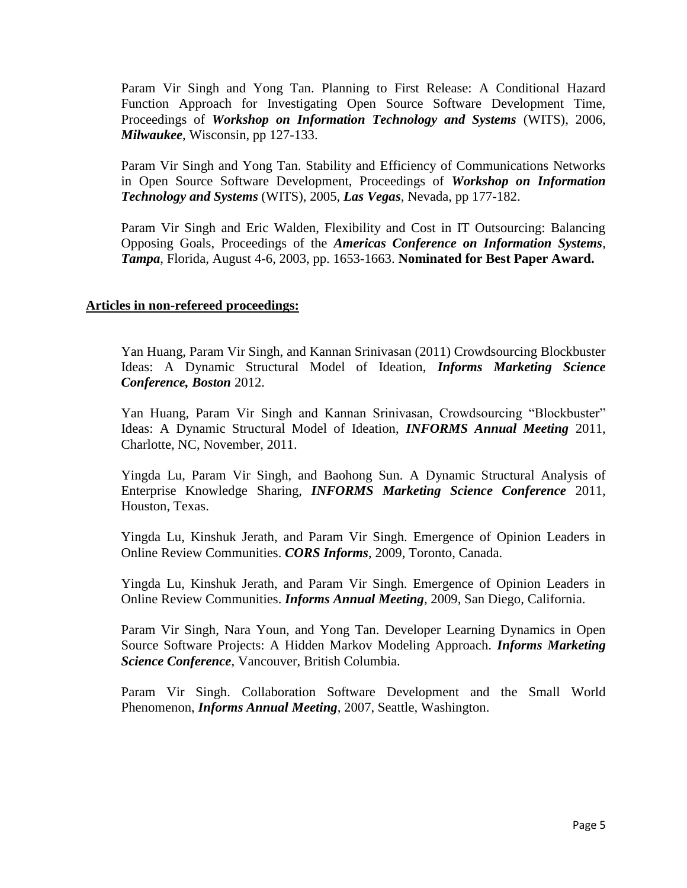Param Vir Singh and Yong Tan. Planning to First Release: A Conditional Hazard Function Approach for Investigating Open Source Software Development Time, Proceedings of *Workshop on Information Technology and Systems* (WITS), 2006, *Milwaukee*, Wisconsin, pp 127-133.

Param Vir Singh and Yong Tan. Stability and Efficiency of Communications Networks in Open Source Software Development, Proceedings of *Workshop on Information Technology and Systems* (WITS), 2005, *Las Vegas*, Nevada, pp 177-182.

Param Vir Singh and Eric Walden, Flexibility and Cost in IT Outsourcing: Balancing Opposing Goals, Proceedings of the *Americas Conference on Information Systems*, *Tampa*, Florida, August 4-6, 2003, pp. 1653-1663. **Nominated for Best Paper Award.**

## **Articles in non-refereed proceedings:**

Yan Huang, Param Vir Singh, and Kannan Srinivasan (2011) Crowdsourcing Blockbuster Ideas: A Dynamic Structural Model of Ideation, *Informs Marketing Science Conference, Boston* 2012.

Yan Huang, Param Vir Singh and Kannan Srinivasan, Crowdsourcing "Blockbuster" Ideas: A Dynamic Structural Model of Ideation, *INFORMS Annual Meeting* 2011, Charlotte, NC, November, 2011.

Yingda Lu, Param Vir Singh, and Baohong Sun. A Dynamic Structural Analysis of Enterprise Knowledge Sharing, *INFORMS Marketing Science Conference* 2011, Houston, Texas.

Yingda Lu, Kinshuk Jerath, and Param Vir Singh. Emergence of Opinion Leaders in Online Review Communities. *CORS Informs*, 2009, Toronto, Canada.

Yingda Lu, Kinshuk Jerath, and Param Vir Singh. Emergence of Opinion Leaders in Online Review Communities. *Informs Annual Meeting*, 2009, San Diego, California.

Param Vir Singh, Nara Youn, and Yong Tan. Developer Learning Dynamics in Open Source Software Projects: A Hidden Markov Modeling Approach. *Informs Marketing Science Conference*, Vancouver, British Columbia.

Param Vir Singh. Collaboration Software Development and the Small World Phenomenon, *Informs Annual Meeting*, 2007, Seattle, Washington.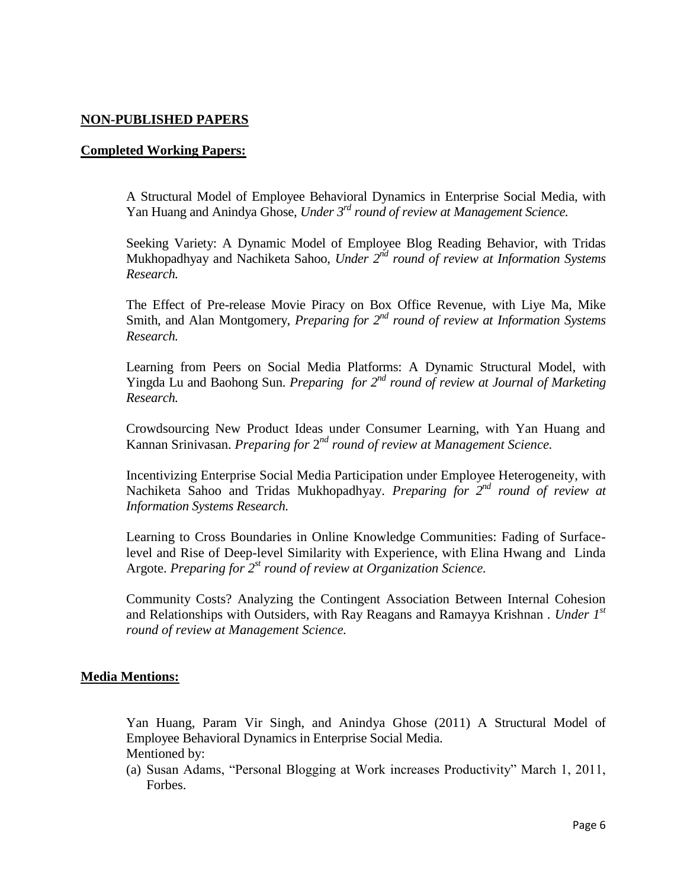# **NON-PUBLISHED PAPERS**

#### **Completed Working Papers:**

A Structural Model of Employee Behavioral Dynamics in Enterprise Social Media, with Yan Huang and Anindya Ghose, *Under 3 rd round of review at Management Science.*

Seeking Variety: A Dynamic Model of Employee Blog Reading Behavior, with Tridas Mukhopadhyay and Nachiketa Sahoo, *Under* 2<sup>nd</sup> round of review at Information Systems *Research.*

The Effect of Pre-release Movie Piracy on Box Office Revenue, with Liye Ma, Mike Smith, and Alan Montgomery, *Preparing for*  $2^{nd}$  *round of review at Information Systems Research.*

Learning from Peers on Social Media Platforms: A Dynamic Structural Model, with Yingda Lu and Baohong Sun. *Preparing for 2<sup>nd</sup> round of review at Journal of Marketing Research.*

Crowdsourcing New Product Ideas under Consumer Learning, with Yan Huang and Kannan Srinivasan. *Preparing for* 2<sup>nd</sup> round of review at Management Science.

Incentivizing Enterprise Social Media Participation under Employee Heterogeneity, with Nachiketa Sahoo and Tridas Mukhopadhyay. *Preparing for* 2<sup>nd</sup> round of review at *Information Systems Research.*

Learning to Cross Boundaries in Online Knowledge Communities: Fading of Surfacelevel and Rise of Deep-level Similarity with Experience, with Elina Hwang and Linda Argote. *Preparing for*  $2^{st}$  *round of review at Organization Science.* 

Community Costs? Analyzing the Contingent Association Between Internal Cohesion and Relationships with Outsiders, with Ray Reagans and Ramayya Krishnan . *Under 1st round of review at Management Science.*

#### **Media Mentions:**

Yan Huang, Param Vir Singh, and Anindya Ghose (2011) A Structural Model of Employee Behavioral Dynamics in Enterprise Social Media.

Mentioned by:

(a) Susan Adams, "Personal Blogging at Work increases Productivity" March 1, 2011, Forbes.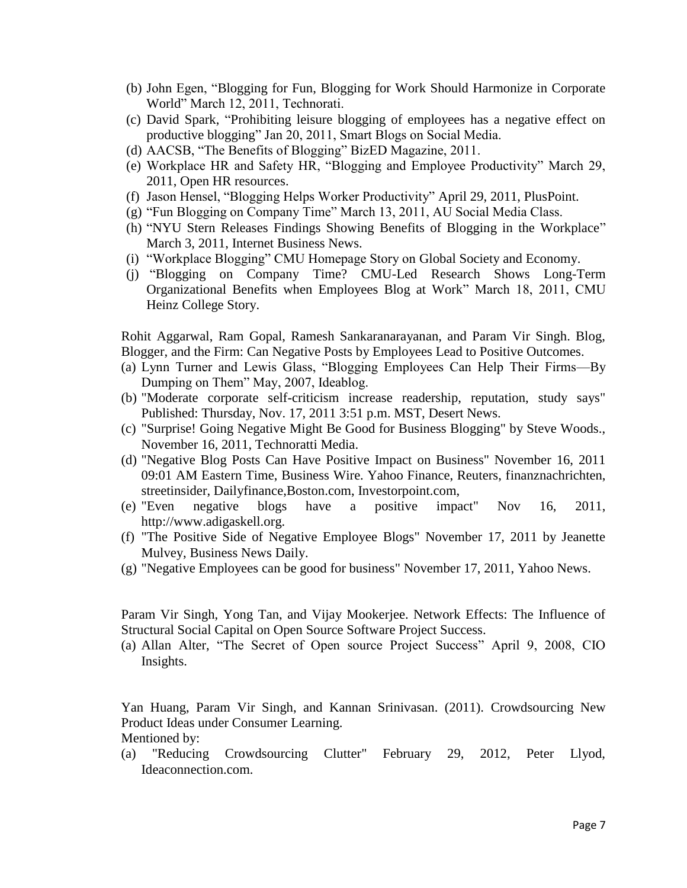- (b) John Egen, "Blogging for Fun, Blogging for Work Should Harmonize in Corporate World" March 12, 2011, Technorati.
- (c) David Spark, "Prohibiting leisure blogging of employees has a negative effect on productive blogging" Jan 20, 2011, Smart Blogs on Social Media.
- (d) AACSB, "The Benefits of Blogging" BizED Magazine, 2011.
- (e) Workplace HR and Safety HR, "Blogging and Employee Productivity" March 29, 2011, Open HR resources.
- (f) Jason Hensel, "Blogging Helps Worker Productivity" April 29, 2011, PlusPoint.
- (g) "Fun Blogging on Company Time" March 13, 2011, AU Social Media Class.
- (h) "NYU Stern Releases Findings Showing Benefits of Blogging in the Workplace" March 3, 2011, Internet Business News.
- (i) "Workplace Blogging" CMU Homepage Story on Global Society and Economy.
- (j) "Blogging on Company Time? CMU-Led Research Shows Long-Term Organizational Benefits when Employees Blog at Work" March 18, 2011, CMU Heinz College Story.

Rohit Aggarwal, Ram Gopal, Ramesh Sankaranarayanan, and Param Vir Singh. Blog, Blogger, and the Firm: Can Negative Posts by Employees Lead to Positive Outcomes.

- (a) Lynn Turner and Lewis Glass, "Blogging Employees Can Help Their Firms—By Dumping on Them" May, 2007, Ideablog.
- (b) "Moderate corporate self-criticism increase readership, reputation, study says" Published: Thursday, Nov. 17, 2011 3:51 p.m. MST, Desert News.
- (c) "Surprise! Going Negative Might Be Good for Business Blogging" by Steve Woods., November 16, 2011, Technoratti Media.
- (d) "Negative Blog Posts Can Have Positive Impact on Business" November 16, 2011 09:01 AM Eastern Time, Business Wire. Yahoo Finance, Reuters, finanznachrichten, streetinsider, Dailyfinance,Boston.com, Investorpoint.com,
- (e) "Even negative blogs have a positive impact" Nov 16, 2011, http://www.adigaskell.org.
- (f) "The Positive Side of Negative Employee Blogs" November 17, 2011 by Jeanette Mulvey, Business News Daily.
- (g) "Negative Employees can be good for business" November 17, 2011, Yahoo News.

Param Vir Singh, Yong Tan, and Vijay Mookerjee. Network Effects: The Influence of Structural Social Capital on Open Source Software Project Success.

(a) Allan Alter, "The Secret of Open source Project Success" April 9, 2008, CIO Insights.

Yan Huang, Param Vir Singh, and Kannan Srinivasan. (2011). Crowdsourcing New Product Ideas under Consumer Learning.

Mentioned by:

(a) "Reducing Crowdsourcing Clutter" February 29, 2012, Peter Llyod, Ideaconnection.com.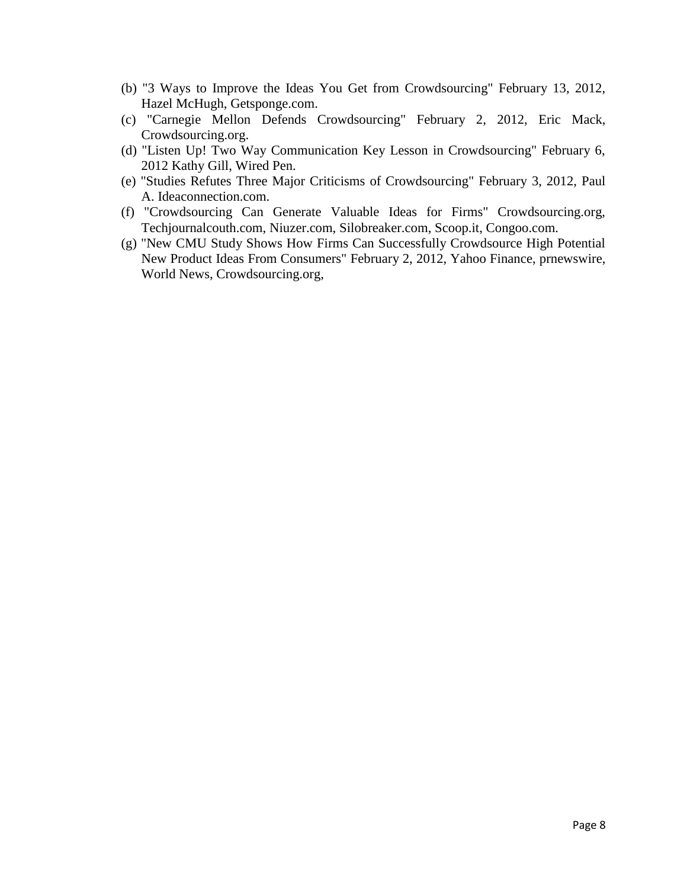- (b) "3 Ways to Improve the Ideas You Get from Crowdsourcing" February 13, 2012, Hazel McHugh, Getsponge.com.
- (c) "Carnegie Mellon Defends Crowdsourcing" February 2, 2012, Eric Mack, Crowdsourcing.org.
- (d) "Listen Up! Two Way Communication Key Lesson in Crowdsourcing" February 6, 2012 Kathy Gill, Wired Pen.
- (e) "Studies Refutes Three Major Criticisms of Crowdsourcing" February 3, 2012, Paul A. Ideaconnection.com.
- (f) "Crowdsourcing Can Generate Valuable Ideas for Firms" Crowdsourcing.org, Techjournalcouth.com, Niuzer.com, Silobreaker.com, Scoop.it, Congoo.com.
- (g) "New CMU Study Shows How Firms Can Successfully Crowdsource High Potential New Product Ideas From Consumers" February 2, 2012, Yahoo Finance, prnewswire, World News, Crowdsourcing.org,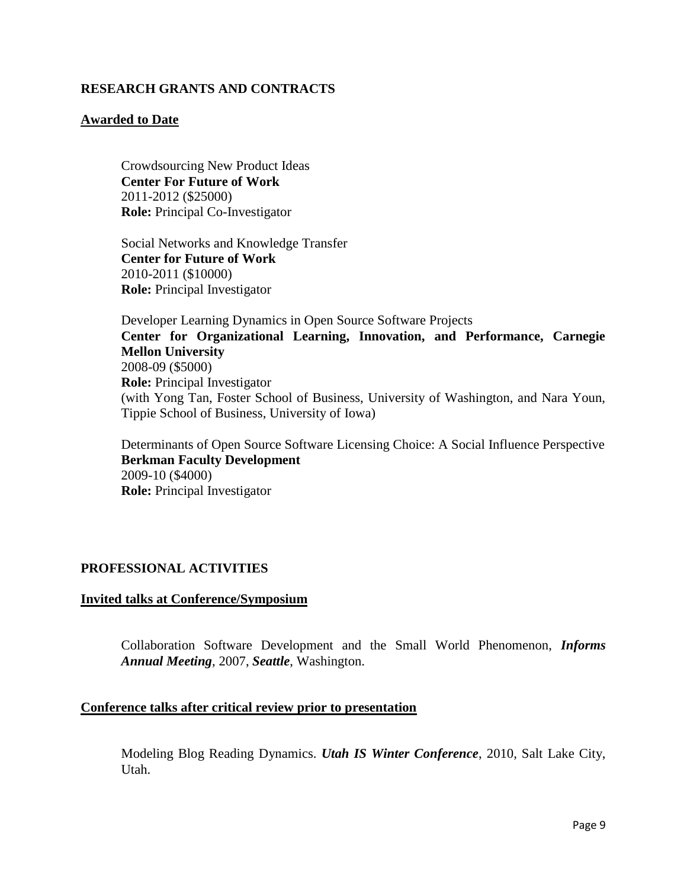# **RESEARCH GRANTS AND CONTRACTS**

## **Awarded to Date**

Crowdsourcing New Product Ideas **Center For Future of Work** 2011-2012 (\$25000) **Role:** Principal Co-Investigator

Social Networks and Knowledge Transfer **Center for Future of Work** 2010-2011 (\$10000) **Role:** Principal Investigator

Developer Learning Dynamics in Open Source Software Projects **Center for Organizational Learning, Innovation, and Performance, Carnegie Mellon University** 2008-09 (\$5000) **Role:** Principal Investigator (with Yong Tan, Foster School of Business, University of Washington, and Nara Youn, Tippie School of Business, University of Iowa)

Determinants of Open Source Software Licensing Choice: A Social Influence Perspective **Berkman Faculty Development**  2009-10 (\$4000) **Role:** Principal Investigator

# **PROFESSIONAL ACTIVITIES**

## **Invited talks at Conference/Symposium**

Collaboration Software Development and the Small World Phenomenon, *Informs Annual Meeting*, 2007, *Seattle*, Washington.

#### **Conference talks after critical review prior to presentation**

Modeling Blog Reading Dynamics. *Utah IS Winter Conference*, 2010, Salt Lake City, Utah.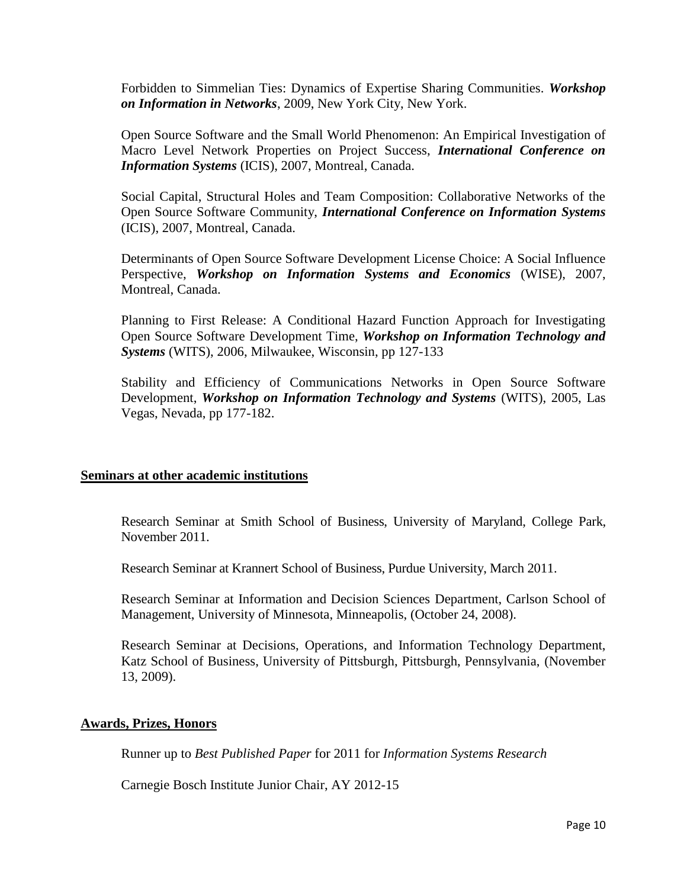Forbidden to Simmelian Ties: Dynamics of Expertise Sharing Communities. *Workshop on Information in Networks*, 2009, New York City, New York.

Open Source Software and the Small World Phenomenon: An Empirical Investigation of Macro Level Network Properties on Project Success, *International Conference on Information Systems* (ICIS), 2007, Montreal, Canada.

Social Capital, Structural Holes and Team Composition: Collaborative Networks of the Open Source Software Community, *International Conference on Information Systems*  (ICIS), 2007, Montreal, Canada.

Determinants of Open Source Software Development License Choice: A Social Influence Perspective, *Workshop on Information Systems and Economics* (WISE), 2007, Montreal, Canada.

Planning to First Release: A Conditional Hazard Function Approach for Investigating Open Source Software Development Time, *Workshop on Information Technology and Systems* (WITS), 2006, Milwaukee, Wisconsin, pp 127-133

Stability and Efficiency of Communications Networks in Open Source Software Development, *Workshop on Information Technology and Systems* (WITS), 2005, Las Vegas, Nevada, pp 177-182.

#### **Seminars at other academic institutions**

Research Seminar at Smith School of Business, University of Maryland, College Park, November 2011.

Research Seminar at Krannert School of Business, Purdue University, March 2011.

Research Seminar at Information and Decision Sciences Department, Carlson School of Management, University of Minnesota, Minneapolis, (October 24, 2008).

Research Seminar at Decisions, Operations, and Information Technology Department, Katz School of Business, University of Pittsburgh, Pittsburgh, Pennsylvania, (November 13, 2009).

#### **Awards, Prizes, Honors**

Runner up to *Best Published Paper* for 2011 for *Information Systems Research*

Carnegie Bosch Institute Junior Chair, AY 2012-15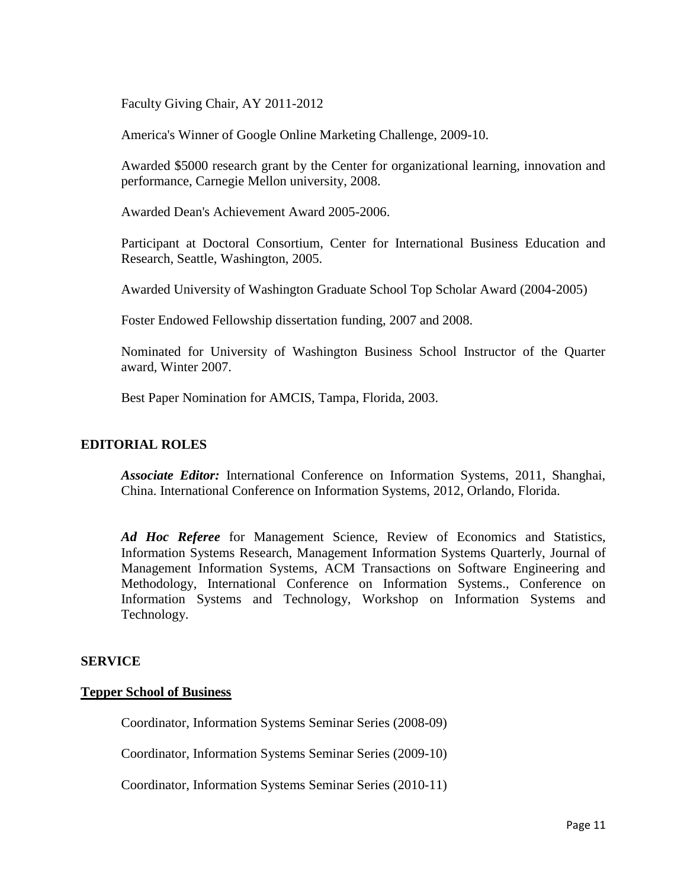Faculty Giving Chair, AY 2011-2012

America's Winner of Google Online Marketing Challenge, 2009-10.

Awarded \$5000 research grant by the Center for organizational learning, innovation and performance, Carnegie Mellon university, 2008.

Awarded Dean's Achievement Award 2005-2006.

Participant at Doctoral Consortium, Center for International Business Education and Research, Seattle, Washington, 2005.

Awarded University of Washington Graduate School Top Scholar Award (2004-2005)

Foster Endowed Fellowship dissertation funding, 2007 and 2008.

Nominated for University of Washington Business School Instructor of the Quarter award, Winter 2007.

Best Paper Nomination for AMCIS, Tampa, Florida, 2003.

## **EDITORIAL ROLES**

*Associate Editor:* International Conference on Information Systems, 2011, Shanghai, China. International Conference on Information Systems, 2012, Orlando, Florida.

*Ad Hoc Referee* for Management Science, Review of Economics and Statistics, Information Systems Research, Management Information Systems Quarterly, Journal of Management Information Systems, ACM Transactions on Software Engineering and Methodology, International Conference on Information Systems., Conference on Information Systems and Technology, Workshop on Information Systems and Technology.

#### **SERVICE**

#### **Tepper School of Business**

Coordinator, Information Systems Seminar Series (2008-09)

Coordinator, Information Systems Seminar Series (2009-10)

Coordinator, Information Systems Seminar Series (2010-11)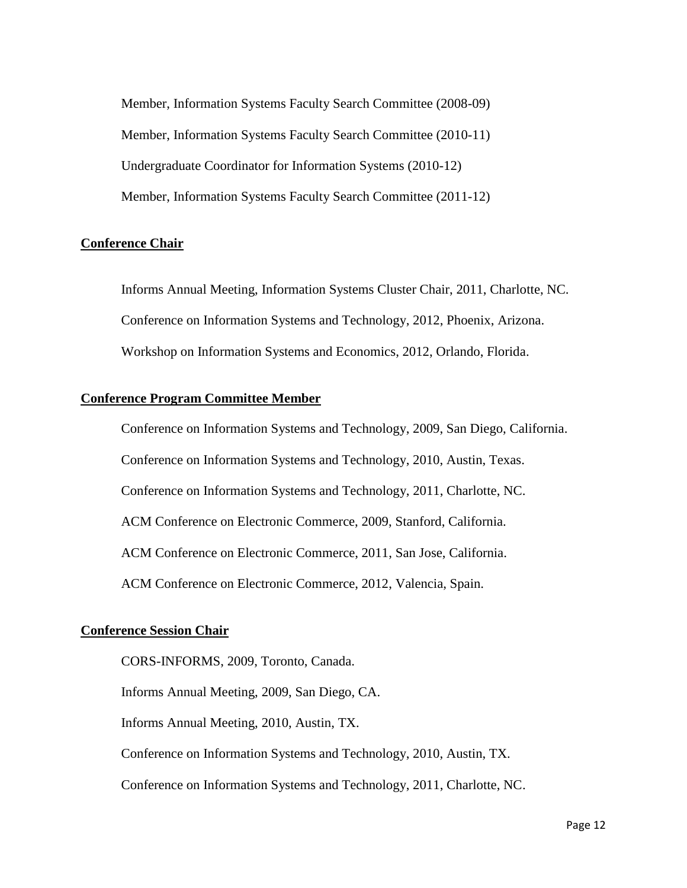Member, Information Systems Faculty Search Committee (2008-09) Member, Information Systems Faculty Search Committee (2010-11) Undergraduate Coordinator for Information Systems (2010-12) Member, Information Systems Faculty Search Committee (2011-12)

#### **Conference Chair**

Informs Annual Meeting, Information Systems Cluster Chair, 2011, Charlotte, NC. Conference on Information Systems and Technology, 2012, Phoenix, Arizona. Workshop on Information Systems and Economics, 2012, Orlando, Florida.

#### **Conference Program Committee Member**

Conference on Information Systems and Technology, 2009, San Diego, California. Conference on Information Systems and Technology, 2010, Austin, Texas. Conference on Information Systems and Technology, 2011, Charlotte, NC. ACM Conference on Electronic Commerce, 2009, Stanford, California. ACM Conference on Electronic Commerce, 2011, San Jose, California. ACM Conference on Electronic Commerce, 2012, Valencia, Spain.

#### **Conference Session Chair**

CORS-INFORMS, 2009, Toronto, Canada. Informs Annual Meeting, 2009, San Diego, CA. Informs Annual Meeting, 2010, Austin, TX. Conference on Information Systems and Technology, 2010, Austin, TX. Conference on Information Systems and Technology, 2011, Charlotte, NC.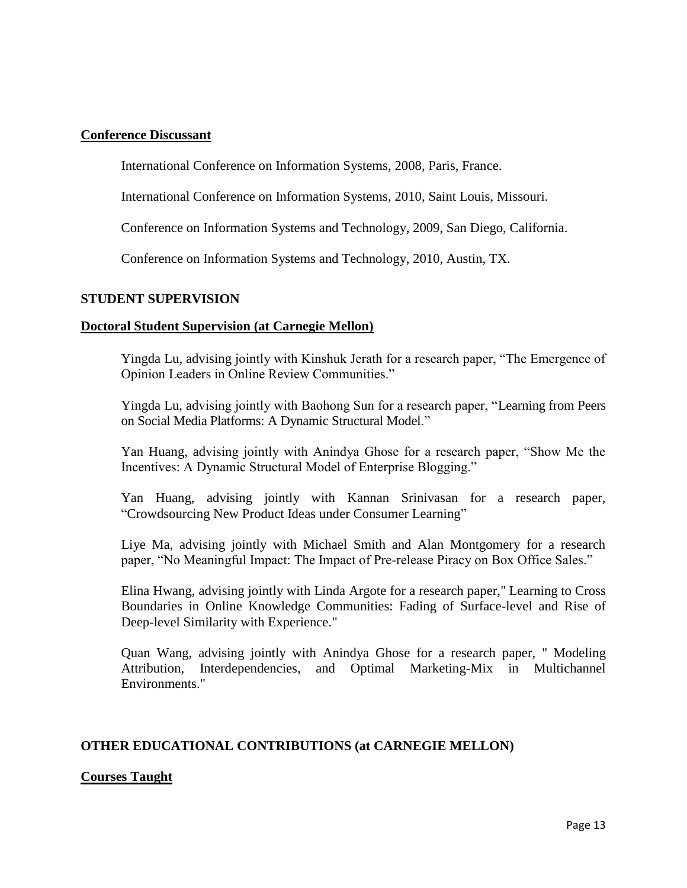## **Conference Discussant**

International Conference on Information Systems, 2008, Paris, France.

International Conference on Information Systems, 2010, Saint Louis, Missouri.

Conference on Information Systems and Technology, 2009, San Diego, California.

Conference on Information Systems and Technology, 2010, Austin, TX.

## **STUDENT SUPERVISION**

## **Doctoral Student Supervision (at Carnegie Mellon)**

Yingda Lu, advising jointly with Kinshuk Jerath for a research paper, "The Emergence of Opinion Leaders in Online Review Communities."

Yingda Lu, advising jointly with Baohong Sun for a research paper, "Learning from Peers on Social Media Platforms: A Dynamic Structural Model."

Yan Huang, advising jointly with Anindya Ghose for a research paper, "Show Me the Incentives: A Dynamic Structural Model of Enterprise Blogging."

Yan Huang, advising jointly with Kannan Srinivasan for a research paper, "Crowdsourcing New Product Ideas under Consumer Learning"

Liye Ma, advising jointly with Michael Smith and Alan Montgomery for a research paper, "No Meaningful Impact: The Impact of Pre-release Piracy on Box Office Sales."

Elina Hwang, advising jointly with Linda Argote for a research paper," Learning to Cross Boundaries in Online Knowledge Communities: Fading of Surface-level and Rise of Deep-level Similarity with Experience."

Quan Wang, advising jointly with Anindya Ghose for a research paper, " Modeling Attribution, Interdependencies, and Optimal Marketing-Mix in Multichannel Environments."

# **OTHER EDUCATIONAL CONTRIBUTIONS (at CARNEGIE MELLON)**

# **Courses Taught**